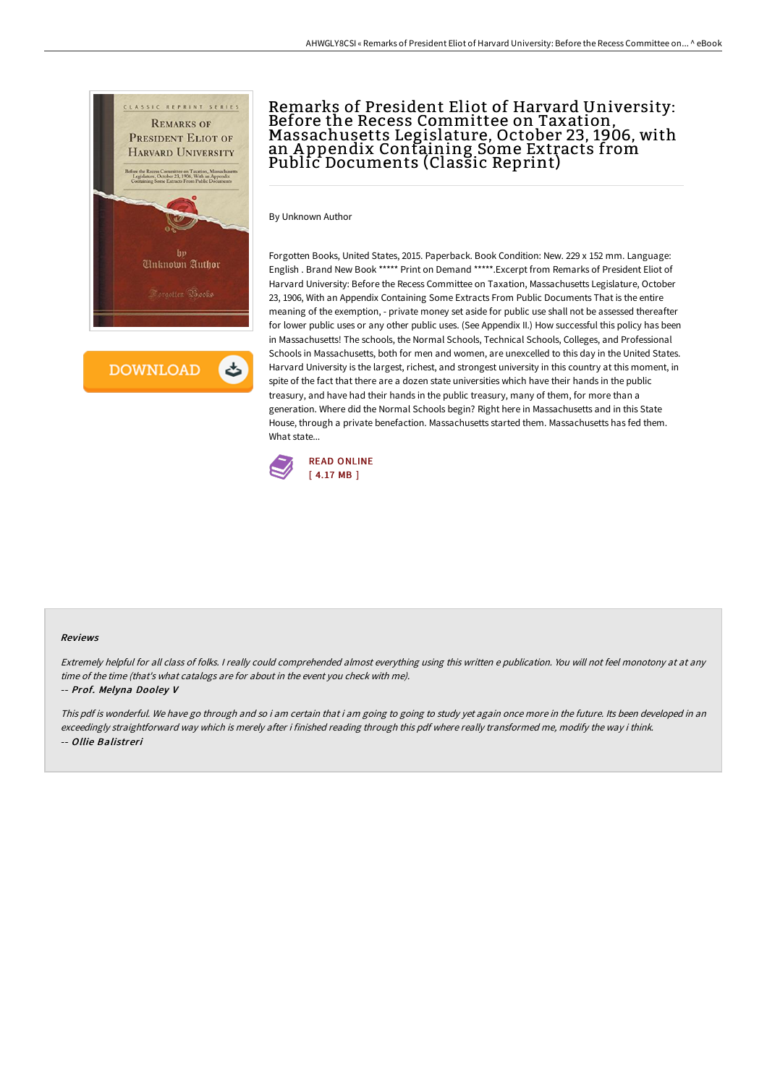

**DOWNLOAD** 

# Remarks of President Eliot of Harvard University: Before the Recess Committee on Taxation, Massachusetts Legislature, October 23, 1906, with an A ppendix Containing Some Extracts from Public Documents (Classic Reprint)

By Unknown Author

Forgotten Books, United States, 2015. Paperback. Book Condition: New. 229 x 152 mm. Language: English . Brand New Book \*\*\*\*\* Print on Demand \*\*\*\*\*.Excerpt from Remarks of President Eliot of Harvard University: Before the Recess Committee on Taxation, Massachusetts Legislature, October 23, 1906, With an Appendix Containing Some Extracts From Public Documents That is the entire meaning of the exemption, - private money set aside for public use shall not be assessed thereafter for lower public uses or any other public uses. (See Appendix II.) How successful this policy has been in Massachusetts! The schools, the Normal Schools, Technical Schools, Colleges, and Professional Schools in Massachusetts, both for men and women, are unexcelled to this day in the United States. Harvard University is the largest, richest, and strongest university in this country at this moment, in spite of the fact that there are a dozen state universities which have their hands in the public treasury, and have had their hands in the public treasury, many of them, for more than a generation. Where did the Normal Schools begin? Right here in Massachusetts and in this State House, through a private benefaction. Massachusetts started them. Massachusetts has fed them. What state...



#### Reviews

Extremely helpful for all class of folks. <sup>I</sup> really could comprehended almost everything using this written <sup>e</sup> publication. You will not feel monotony at at any time of the time (that's what catalogs are for about in the event you check with me).

### -- Prof. Melyna Dooley V

This pdf is wonderful. We have go through and so i am certain that i am going to going to study yet again once more in the future. Its been developed in an exceedingly straightforward way which is merely after i finished reading through this pdf where really transformed me, modify the way i think. -- Ollie Balistreri